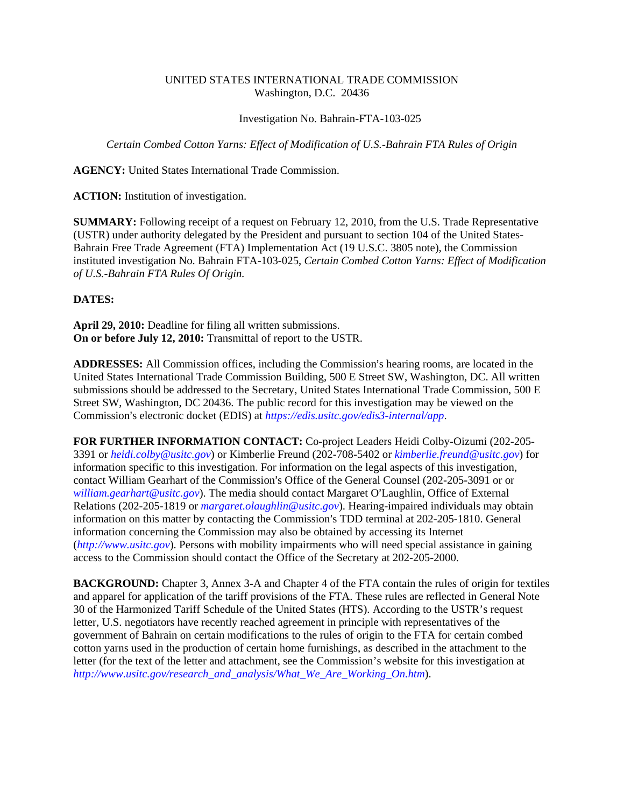## UNITED STATES INTERNATIONAL TRADE COMMISSION Washington, D.C. 20436

Investigation No. Bahrain-FTA-103-025

*Certain Combed Cotton Yarns: Effect of Modification of U.S.-Bahrain FTA Rules of Origin*

**AGENCY:** United States International Trade Commission.

**ACTION:** Institution of investigation.

**SUMMARY:** Following receipt of a request on February 12, 2010, from the U.S. Trade Representative (USTR) under authority delegated by the President and pursuant to section 104 of the United States-Bahrain Free Trade Agreement (FTA) Implementation Act (19 U.S.C. 3805 note), the Commission instituted investigation No. Bahrain FTA-103-025, *Certain Combed Cotton Yarns: Effect of Modification of U.S.-Bahrain FTA Rules Of Origin.*

## **DATES:**

**April 29, 2010:** Deadline for filing all written submissions. **On or before July 12, 2010:** Transmittal of report to the USTR.

ADDRESSES: All Commission offices, including the Commission's hearing rooms, are located in the United States International Trade Commission Building, 500 E Street SW, Washington, DC. All written submissions should be addressed to the Secretary, United States International Trade Commission, 500 E Street SW, Washington, DC 20436. The public record for this investigation may be viewed on the Commission's electronic docket (EDIS) at *https://edis.usitc.gov/edis3-internal/app*.

**FOR FURTHER INFORMATION CONTACT:** Co-project Leaders Heidi Colby-Oizumi (202-205- 3391 or *heidi.colby@usitc.gov*) or Kimberlie Freund (202-708-5402 or *kimberlie.freund@usitc.gov*) for information specific to this investigation. For information on the legal aspects of this investigation, contact William Gearhart of the Commission's Office of the General Counsel (202-205-3091 or or *william.gearhart@usitc.gov*). The media should contact Margaret O'Laughlin, Office of External Relations (202-205-1819 or *margaret.olaughlin@usitc.gov*). Hearing-impaired individuals may obtain information on this matter by contacting the Commission's TDD terminal at 202-205-1810. General information concerning the Commission may also be obtained by accessing its Internet (*http://www.usitc.gov*). Persons with mobility impairments who will need special assistance in gaining access to the Commission should contact the Office of the Secretary at 202-205-2000.

**BACKGROUND:** Chapter 3, Annex 3-A and Chapter 4 of the FTA contain the rules of origin for textiles and apparel for application of the tariff provisions of the FTA. These rules are reflected in General Note 30 of the Harmonized Tariff Schedule of the United States (HTS). According to the USTR's request letter, U.S. negotiators have recently reached agreement in principle with representatives of the government of Bahrain on certain modifications to the rules of origin to the FTA for certain combed cotton yarns used in the production of certain home furnishings, as described in the attachment to the letter (for the text of the letter and attachment, see the Commission's website for this investigation at *http://www.usitc.gov/research\_and\_analysis/What\_We\_Are\_Working\_On.htm*).